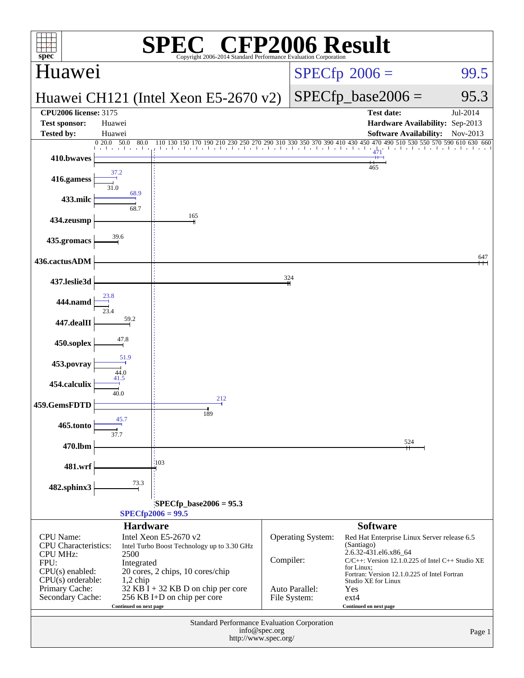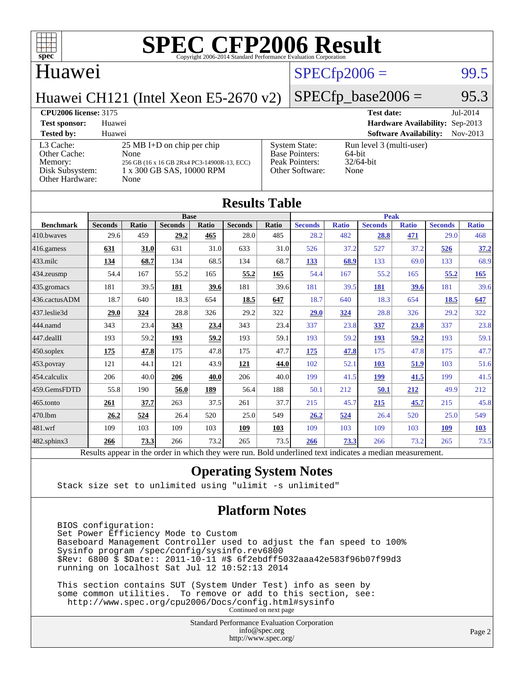

#### Huawei

## $SPECTp2006 =$  99.5

Huawei CH121 (Intel Xeon E5-2670 v2)

#### $SPECfp\_base2006 = 95.3$

#### **[CPU2006 license:](http://www.spec.org/auto/cpu2006/Docs/result-fields.html#CPU2006license)** 3175 **[Test date:](http://www.spec.org/auto/cpu2006/Docs/result-fields.html#Testdate)** Jul-2014 **[Test sponsor:](http://www.spec.org/auto/cpu2006/Docs/result-fields.html#Testsponsor)** Huawei **[Hardware Availability:](http://www.spec.org/auto/cpu2006/Docs/result-fields.html#HardwareAvailability)** Sep-2013 **[Tested by:](http://www.spec.org/auto/cpu2006/Docs/result-fields.html#Testedby)** Huawei **[Software Availability:](http://www.spec.org/auto/cpu2006/Docs/result-fields.html#SoftwareAvailability)** Nov-2013 [L3 Cache:](http://www.spec.org/auto/cpu2006/Docs/result-fields.html#L3Cache) 25 MB I+D on chip per chip<br>Other Cache: None [Other Cache:](http://www.spec.org/auto/cpu2006/Docs/result-fields.html#OtherCache) [Memory:](http://www.spec.org/auto/cpu2006/Docs/result-fields.html#Memory) 256 GB (16 x 16 GB 2Rx4 PC3-14900R-13, ECC) [Disk Subsystem:](http://www.spec.org/auto/cpu2006/Docs/result-fields.html#DiskSubsystem) 1 x 300 GB SAS, 10000 RPM [Other Hardware:](http://www.spec.org/auto/cpu2006/Docs/result-fields.html#OtherHardware) None [System State:](http://www.spec.org/auto/cpu2006/Docs/result-fields.html#SystemState) Run level 3 (multi-user)<br>Base Pointers: 64-bit [Base Pointers:](http://www.spec.org/auto/cpu2006/Docs/result-fields.html#BasePointers) [Peak Pointers:](http://www.spec.org/auto/cpu2006/Docs/result-fields.html#PeakPointers) 32/64-bit [Other Software:](http://www.spec.org/auto/cpu2006/Docs/result-fields.html#OtherSoftware) None

| <b>Results Table</b> |                                                                                                          |              |                |       |                |       |                |              |                |              |                |              |
|----------------------|----------------------------------------------------------------------------------------------------------|--------------|----------------|-------|----------------|-------|----------------|--------------|----------------|--------------|----------------|--------------|
|                      | <b>Base</b>                                                                                              |              |                |       |                |       | <b>Peak</b>    |              |                |              |                |              |
| <b>Benchmark</b>     | <b>Seconds</b>                                                                                           | <b>Ratio</b> | <b>Seconds</b> | Ratio | <b>Seconds</b> | Ratio | <b>Seconds</b> | <b>Ratio</b> | <b>Seconds</b> | <b>Ratio</b> | <b>Seconds</b> | <b>Ratio</b> |
| 410.bwayes           | 29.6                                                                                                     | 459          | 29.2           | 465   | 28.0           | 485   | 28.2           | 482          | 28.8           | 471          | 29.0           | 468          |
| 416.gamess           | 631                                                                                                      | 31.0         | 631            | 31.0  | 633            | 31.0  | 526            | 37.2         | 527            | 37.2         | 526            | 37.2         |
| $433$ .milc          | 134                                                                                                      | 68.7         | 134            | 68.5  | 134            | 68.7  | 133            | 68.9         | 133            | 69.0         | 133            | 68.9         |
| 434.zeusmp           | 54.4                                                                                                     | 167          | 55.2           | 165   | 55.2           | 165   | 54.4           | 167          | 55.2           | 165          | 55.2           | 165          |
| 435.gromacs          | 181                                                                                                      | 39.5         | 181            | 39.6  | 181            | 39.6  | 181            | 39.5         | 181            | 39.6         | 181            | 39.6         |
| 436.cactusADM        | 18.7                                                                                                     | 640          | 18.3           | 654   | 18.5           | 647   | 18.7           | 640          | 18.3           | 654          | 18.5           | 647          |
| 437.leslie3d         | 29.0                                                                                                     | 324          | 28.8           | 326   | 29.2           | 322   | 29.0           | <u>324</u>   | 28.8           | 326          | 29.2           | 322          |
| 444.namd             | 343                                                                                                      | 23.4         | 343            | 23.4  | 343            | 23.4  | 337            | 23.8         | 337            | 23.8         | 337            | 23.8         |
| 447.dealII           | 193                                                                                                      | 59.2         | 193            | 59.2  | 193            | 59.1  | 193            | 59.2         | 193            | 59.2         | 193            | 59.1         |
| $450$ .soplex        | 175                                                                                                      | 47.8         | 175            | 47.8  | 175            | 47.7  | 175            | 47.8         | 175            | 47.8         | 175            | 47.7         |
| 453.povray           | 121                                                                                                      | 44.1         | 121            | 43.9  | 121            | 44.0  | 102            | 52.1         | 103            | 51.9         | 103            | 51.6         |
| 454.calculix         | 206                                                                                                      | 40.0         | 206            | 40.0  | 206            | 40.0  | 199            | 41.5         | 199            | 41.5         | 199            | 41.5         |
| 459.GemsFDTD         | 55.8                                                                                                     | 190          | 56.0           | 189   | 56.4           | 188   | 50.1           | 212          | 50.1           | 212          | 49.9           | 212          |
| 465.tonto            | 261                                                                                                      | 37.7         | 263            | 37.5  | 261            | 37.7  | 215            | 45.7         | 215            | 45.7         | 215            | 45.8         |
| 470.1bm              | 26.2                                                                                                     | 524          | 26.4           | 520   | 25.0           | 549   | 26.2           | 524          | 26.4           | 520          | 25.0           | 549          |
| 481.wrf              | 109                                                                                                      | 103          | 109            | 103   | 109            | 103   | 109            | 103          | 109            | 103          | 109            | <b>103</b>   |
| 482.sphinx3          | 266                                                                                                      | 73.3         | 266            | 73.2  | 265            | 73.5  | 266            | 73.3         | 266            | 73.2         | 265            | 73.5         |
|                      | Results appear in the order in which they were run. Bold underlined text indicates a median measurement. |              |                |       |                |       |                |              |                |              |                |              |

#### **[Operating System Notes](http://www.spec.org/auto/cpu2006/Docs/result-fields.html#OperatingSystemNotes)**

Stack size set to unlimited using "ulimit -s unlimited"

#### **[Platform Notes](http://www.spec.org/auto/cpu2006/Docs/result-fields.html#PlatformNotes)**

 BIOS configuration: Set Power Efficiency Mode to Custom Baseboard Management Controller used to adjust the fan speed to 100% Sysinfo program /spec/config/sysinfo.rev6800 \$Rev: 6800 \$ \$Date:: 2011-10-11 #\$ 6f2ebdff5032aaa42e583f96b07f99d3 running on localhost Sat Jul 12 10:52:13 2014

 This section contains SUT (System Under Test) info as seen by some common utilities. To remove or add to this section, see: <http://www.spec.org/cpu2006/Docs/config.html#sysinfo> Continued on next page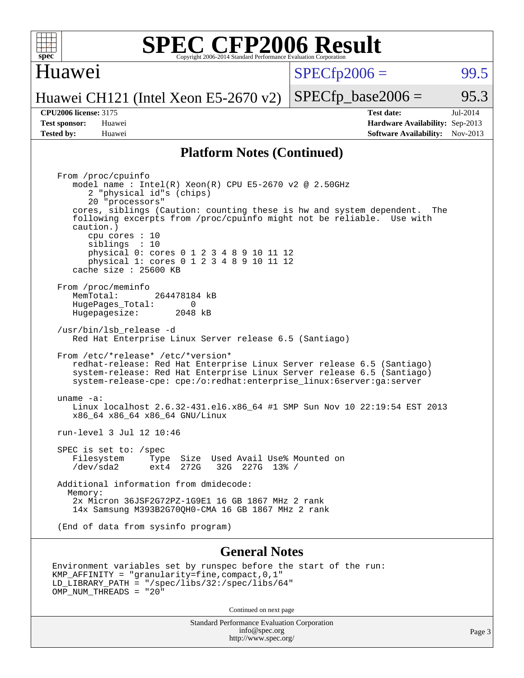

#### Huawei

 $SPECTp2006 =$  99.5

Huawei CH121 (Intel Xeon E5-2670 v2)

**[Tested by:](http://www.spec.org/auto/cpu2006/Docs/result-fields.html#Testedby)** Huawei **[Software Availability:](http://www.spec.org/auto/cpu2006/Docs/result-fields.html#SoftwareAvailability)** Nov-2013

**[CPU2006 license:](http://www.spec.org/auto/cpu2006/Docs/result-fields.html#CPU2006license)** 3175 **[Test date:](http://www.spec.org/auto/cpu2006/Docs/result-fields.html#Testdate)** Jul-2014 **[Test sponsor:](http://www.spec.org/auto/cpu2006/Docs/result-fields.html#Testsponsor)** Huawei **[Hardware Availability:](http://www.spec.org/auto/cpu2006/Docs/result-fields.html#HardwareAvailability)** Sep-2013

 $SPECTp\_base2006 = 95.3$ 

#### **[Platform Notes \(Continued\)](http://www.spec.org/auto/cpu2006/Docs/result-fields.html#PlatformNotes)**

 From /proc/cpuinfo model name : Intel(R) Xeon(R) CPU E5-2670 v2 @ 2.50GHz 2 "physical id"s (chips) 20 "processors" cores, siblings (Caution: counting these is hw and system dependent. The following excerpts from /proc/cpuinfo might not be reliable. Use with caution.) cpu cores : 10 siblings : 10 physical 0: cores 0 1 2 3 4 8 9 10 11 12 physical 1: cores 0 1 2 3 4 8 9 10 11 12 cache size : 25600 KB From /proc/meminfo MemTotal: 264478184 kB HugePages\_Total: 0 Hugepagesize: 2048 kB /usr/bin/lsb\_release -d Red Hat Enterprise Linux Server release 6.5 (Santiago) From /etc/\*release\* /etc/\*version\* redhat-release: Red Hat Enterprise Linux Server release 6.5 (Santiago) system-release: Red Hat Enterprise Linux Server release 6.5 (Santiago) system-release-cpe: cpe:/o:redhat:enterprise\_linux:6server:ga:server uname -a: Linux localhost 2.6.32-431.el6.x86\_64 #1 SMP Sun Nov 10 22:19:54 EST 2013 x86\_64 x86\_64 x86\_64 GNU/Linux run-level 3 Jul 12 10:46 SPEC is set to: /spec<br>Filesystem Type Type Size Used Avail Use% Mounted on /dev/sda2 ext4 272G 32G 227G 13% / Additional information from dmidecode: Memory: 2x Micron 36JSF2G72PZ-1G9E1 16 GB 1867 MHz 2 rank 14x Samsung M393B2G70QH0-CMA 16 GB 1867 MHz 2 rank (End of data from sysinfo program)

#### **[General Notes](http://www.spec.org/auto/cpu2006/Docs/result-fields.html#GeneralNotes)**

```
Environment variables set by runspec before the start of the run:
KMP_AFFINITY = "granularity=fine,compact,0,1"
LD_LIBRARY_PATH = "/spec/libs/32:/spec/libs/64"
OMP NUM THREADS = "20"
```
Continued on next page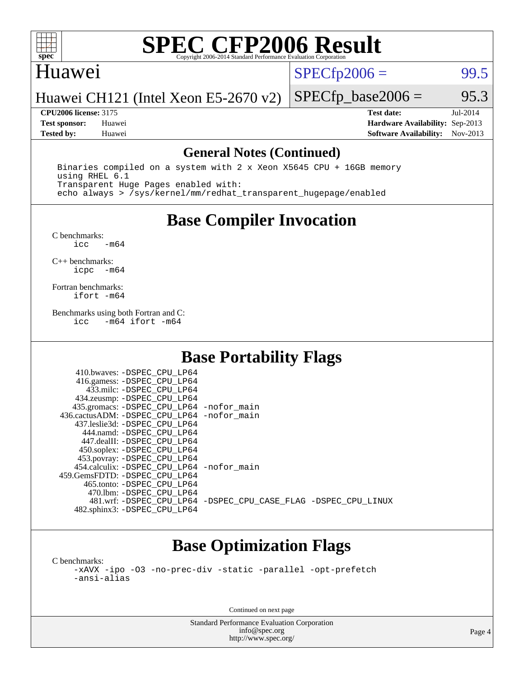

#### Huawei

 $SPECTp2006 =$  99.5

Huawei CH121 (Intel Xeon E5-2670 v2)

**[CPU2006 license:](http://www.spec.org/auto/cpu2006/Docs/result-fields.html#CPU2006license)** 3175 **[Test date:](http://www.spec.org/auto/cpu2006/Docs/result-fields.html#Testdate)** Jul-2014 **[Test sponsor:](http://www.spec.org/auto/cpu2006/Docs/result-fields.html#Testsponsor)** Huawei **[Hardware Availability:](http://www.spec.org/auto/cpu2006/Docs/result-fields.html#HardwareAvailability)** Sep-2013 **[Tested by:](http://www.spec.org/auto/cpu2006/Docs/result-fields.html#Testedby)** Huawei **[Software Availability:](http://www.spec.org/auto/cpu2006/Docs/result-fields.html#SoftwareAvailability)** Nov-2013

 $SPECTp\_base2006 =$  95.3

#### **[General Notes \(Continued\)](http://www.spec.org/auto/cpu2006/Docs/result-fields.html#GeneralNotes)**

 Binaries compiled on a system with 2 x Xeon X5645 CPU + 16GB memory using RHEL 6.1 Transparent Huge Pages enabled with: echo always > /sys/kernel/mm/redhat\_transparent\_hugepage/enabled

## **[Base Compiler Invocation](http://www.spec.org/auto/cpu2006/Docs/result-fields.html#BaseCompilerInvocation)**

 $C$  benchmarks:<br>icc  $-m64$ 

[C++ benchmarks:](http://www.spec.org/auto/cpu2006/Docs/result-fields.html#CXXbenchmarks) [icpc -m64](http://www.spec.org/cpu2006/results/res2014q3/cpu2006-20140725-30563.flags.html#user_CXXbase_intel_icpc_64bit_bedb90c1146cab66620883ef4f41a67e)

[Fortran benchmarks](http://www.spec.org/auto/cpu2006/Docs/result-fields.html#Fortranbenchmarks): [ifort -m64](http://www.spec.org/cpu2006/results/res2014q3/cpu2006-20140725-30563.flags.html#user_FCbase_intel_ifort_64bit_ee9d0fb25645d0210d97eb0527dcc06e)

[Benchmarks using both Fortran and C](http://www.spec.org/auto/cpu2006/Docs/result-fields.html#BenchmarksusingbothFortranandC): [icc -m64](http://www.spec.org/cpu2006/results/res2014q3/cpu2006-20140725-30563.flags.html#user_CC_FCbase_intel_icc_64bit_0b7121f5ab7cfabee23d88897260401c) [ifort -m64](http://www.spec.org/cpu2006/results/res2014q3/cpu2006-20140725-30563.flags.html#user_CC_FCbase_intel_ifort_64bit_ee9d0fb25645d0210d97eb0527dcc06e)

## **[Base Portability Flags](http://www.spec.org/auto/cpu2006/Docs/result-fields.html#BasePortabilityFlags)**

| 410.bwaves: -DSPEC CPU LP64                  |                                                                |
|----------------------------------------------|----------------------------------------------------------------|
| 416.gamess: - DSPEC CPU LP64                 |                                                                |
| 433.milc: -DSPEC CPU LP64                    |                                                                |
| 434.zeusmp: -DSPEC_CPU_LP64                  |                                                                |
| 435.gromacs: -DSPEC_CPU_LP64 -nofor_main     |                                                                |
| 436.cactusADM: - DSPEC CPU LP64 - nofor main |                                                                |
| 437.leslie3d: -DSPEC CPU LP64                |                                                                |
| 444.namd: -DSPEC CPU LP64                    |                                                                |
| 447.dealII: -DSPEC_CPU LP64                  |                                                                |
| 450.soplex: -DSPEC_CPU_LP64                  |                                                                |
| 453.povray: -DSPEC_CPU_LP64                  |                                                                |
| 454.calculix: -DSPEC CPU LP64 -nofor main    |                                                                |
| 459. GemsFDTD: - DSPEC CPU LP64              |                                                                |
| 465.tonto: - DSPEC CPU LP64                  |                                                                |
| 470.1bm: - DSPEC CPU LP64                    |                                                                |
|                                              | 481.wrf: -DSPEC CPU_LP64 -DSPEC_CPU_CASE_FLAG -DSPEC_CPU_LINUX |
| 482.sphinx3: -DSPEC_CPU_LP64                 |                                                                |

## **[Base Optimization Flags](http://www.spec.org/auto/cpu2006/Docs/result-fields.html#BaseOptimizationFlags)**

[C benchmarks](http://www.spec.org/auto/cpu2006/Docs/result-fields.html#Cbenchmarks): [-xAVX](http://www.spec.org/cpu2006/results/res2014q3/cpu2006-20140725-30563.flags.html#user_CCbase_f-xAVX) [-ipo](http://www.spec.org/cpu2006/results/res2014q3/cpu2006-20140725-30563.flags.html#user_CCbase_f-ipo) [-O3](http://www.spec.org/cpu2006/results/res2014q3/cpu2006-20140725-30563.flags.html#user_CCbase_f-O3) [-no-prec-div](http://www.spec.org/cpu2006/results/res2014q3/cpu2006-20140725-30563.flags.html#user_CCbase_f-no-prec-div) [-static](http://www.spec.org/cpu2006/results/res2014q3/cpu2006-20140725-30563.flags.html#user_CCbase_f-static) [-parallel](http://www.spec.org/cpu2006/results/res2014q3/cpu2006-20140725-30563.flags.html#user_CCbase_f-parallel) [-opt-prefetch](http://www.spec.org/cpu2006/results/res2014q3/cpu2006-20140725-30563.flags.html#user_CCbase_f-opt-prefetch) [-ansi-alias](http://www.spec.org/cpu2006/results/res2014q3/cpu2006-20140725-30563.flags.html#user_CCbase_f-ansi-alias)

Continued on next page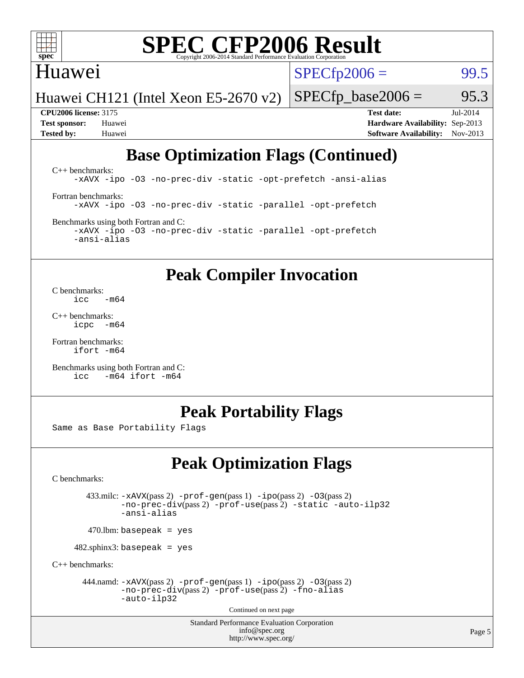

#### Huawei

 $SPECTp2006 =$  99.5

Huawei CH121 (Intel Xeon E5-2670 v2)

**[CPU2006 license:](http://www.spec.org/auto/cpu2006/Docs/result-fields.html#CPU2006license)** 3175 **[Test date:](http://www.spec.org/auto/cpu2006/Docs/result-fields.html#Testdate)** Jul-2014 **[Test sponsor:](http://www.spec.org/auto/cpu2006/Docs/result-fields.html#Testsponsor)** Huawei **[Hardware Availability:](http://www.spec.org/auto/cpu2006/Docs/result-fields.html#HardwareAvailability)** Sep-2013 **[Tested by:](http://www.spec.org/auto/cpu2006/Docs/result-fields.html#Testedby)** Huawei **[Software Availability:](http://www.spec.org/auto/cpu2006/Docs/result-fields.html#SoftwareAvailability)** Nov-2013

 $SPECTp\_base2006 =$  95.3

## **[Base Optimization Flags \(Continued\)](http://www.spec.org/auto/cpu2006/Docs/result-fields.html#BaseOptimizationFlags)**

[C++ benchmarks:](http://www.spec.org/auto/cpu2006/Docs/result-fields.html#CXXbenchmarks) [-xAVX](http://www.spec.org/cpu2006/results/res2014q3/cpu2006-20140725-30563.flags.html#user_CXXbase_f-xAVX) [-ipo](http://www.spec.org/cpu2006/results/res2014q3/cpu2006-20140725-30563.flags.html#user_CXXbase_f-ipo) [-O3](http://www.spec.org/cpu2006/results/res2014q3/cpu2006-20140725-30563.flags.html#user_CXXbase_f-O3) [-no-prec-div](http://www.spec.org/cpu2006/results/res2014q3/cpu2006-20140725-30563.flags.html#user_CXXbase_f-no-prec-div) [-static](http://www.spec.org/cpu2006/results/res2014q3/cpu2006-20140725-30563.flags.html#user_CXXbase_f-static) [-opt-prefetch](http://www.spec.org/cpu2006/results/res2014q3/cpu2006-20140725-30563.flags.html#user_CXXbase_f-opt-prefetch) [-ansi-alias](http://www.spec.org/cpu2006/results/res2014q3/cpu2006-20140725-30563.flags.html#user_CXXbase_f-ansi-alias) [Fortran benchmarks](http://www.spec.org/auto/cpu2006/Docs/result-fields.html#Fortranbenchmarks): [-xAVX](http://www.spec.org/cpu2006/results/res2014q3/cpu2006-20140725-30563.flags.html#user_FCbase_f-xAVX) [-ipo](http://www.spec.org/cpu2006/results/res2014q3/cpu2006-20140725-30563.flags.html#user_FCbase_f-ipo) [-O3](http://www.spec.org/cpu2006/results/res2014q3/cpu2006-20140725-30563.flags.html#user_FCbase_f-O3) [-no-prec-div](http://www.spec.org/cpu2006/results/res2014q3/cpu2006-20140725-30563.flags.html#user_FCbase_f-no-prec-div) [-static](http://www.spec.org/cpu2006/results/res2014q3/cpu2006-20140725-30563.flags.html#user_FCbase_f-static) [-parallel](http://www.spec.org/cpu2006/results/res2014q3/cpu2006-20140725-30563.flags.html#user_FCbase_f-parallel) [-opt-prefetch](http://www.spec.org/cpu2006/results/res2014q3/cpu2006-20140725-30563.flags.html#user_FCbase_f-opt-prefetch) [Benchmarks using both Fortran and C](http://www.spec.org/auto/cpu2006/Docs/result-fields.html#BenchmarksusingbothFortranandC):

[-xAVX](http://www.spec.org/cpu2006/results/res2014q3/cpu2006-20140725-30563.flags.html#user_CC_FCbase_f-xAVX) [-ipo](http://www.spec.org/cpu2006/results/res2014q3/cpu2006-20140725-30563.flags.html#user_CC_FCbase_f-ipo) [-O3](http://www.spec.org/cpu2006/results/res2014q3/cpu2006-20140725-30563.flags.html#user_CC_FCbase_f-O3) [-no-prec-div](http://www.spec.org/cpu2006/results/res2014q3/cpu2006-20140725-30563.flags.html#user_CC_FCbase_f-no-prec-div) [-static](http://www.spec.org/cpu2006/results/res2014q3/cpu2006-20140725-30563.flags.html#user_CC_FCbase_f-static) [-parallel](http://www.spec.org/cpu2006/results/res2014q3/cpu2006-20140725-30563.flags.html#user_CC_FCbase_f-parallel) [-opt-prefetch](http://www.spec.org/cpu2006/results/res2014q3/cpu2006-20140725-30563.flags.html#user_CC_FCbase_f-opt-prefetch) [-ansi-alias](http://www.spec.org/cpu2006/results/res2014q3/cpu2006-20140725-30563.flags.html#user_CC_FCbase_f-ansi-alias)

### **[Peak Compiler Invocation](http://www.spec.org/auto/cpu2006/Docs/result-fields.html#PeakCompilerInvocation)**

[C benchmarks](http://www.spec.org/auto/cpu2006/Docs/result-fields.html#Cbenchmarks):  $\frac{1}{2}$ cc  $-\text{m64}$ 

[C++ benchmarks:](http://www.spec.org/auto/cpu2006/Docs/result-fields.html#CXXbenchmarks) [icpc -m64](http://www.spec.org/cpu2006/results/res2014q3/cpu2006-20140725-30563.flags.html#user_CXXpeak_intel_icpc_64bit_bedb90c1146cab66620883ef4f41a67e)

[Fortran benchmarks](http://www.spec.org/auto/cpu2006/Docs/result-fields.html#Fortranbenchmarks): [ifort -m64](http://www.spec.org/cpu2006/results/res2014q3/cpu2006-20140725-30563.flags.html#user_FCpeak_intel_ifort_64bit_ee9d0fb25645d0210d97eb0527dcc06e)

[Benchmarks using both Fortran and C](http://www.spec.org/auto/cpu2006/Docs/result-fields.html#BenchmarksusingbothFortranandC): [icc -m64](http://www.spec.org/cpu2006/results/res2014q3/cpu2006-20140725-30563.flags.html#user_CC_FCpeak_intel_icc_64bit_0b7121f5ab7cfabee23d88897260401c) [ifort -m64](http://www.spec.org/cpu2006/results/res2014q3/cpu2006-20140725-30563.flags.html#user_CC_FCpeak_intel_ifort_64bit_ee9d0fb25645d0210d97eb0527dcc06e)

#### **[Peak Portability Flags](http://www.spec.org/auto/cpu2006/Docs/result-fields.html#PeakPortabilityFlags)**

Same as Base Portability Flags

## **[Peak Optimization Flags](http://www.spec.org/auto/cpu2006/Docs/result-fields.html#PeakOptimizationFlags)**

[C benchmarks](http://www.spec.org/auto/cpu2006/Docs/result-fields.html#Cbenchmarks):

 433.milc: [-xAVX](http://www.spec.org/cpu2006/results/res2014q3/cpu2006-20140725-30563.flags.html#user_peakPASS2_CFLAGSPASS2_LDFLAGS433_milc_f-xAVX)(pass 2) [-prof-gen](http://www.spec.org/cpu2006/results/res2014q3/cpu2006-20140725-30563.flags.html#user_peakPASS1_CFLAGSPASS1_LDFLAGS433_milc_prof_gen_e43856698f6ca7b7e442dfd80e94a8fc)(pass 1) [-ipo](http://www.spec.org/cpu2006/results/res2014q3/cpu2006-20140725-30563.flags.html#user_peakPASS2_CFLAGSPASS2_LDFLAGS433_milc_f-ipo)(pass 2) [-O3](http://www.spec.org/cpu2006/results/res2014q3/cpu2006-20140725-30563.flags.html#user_peakPASS2_CFLAGSPASS2_LDFLAGS433_milc_f-O3)(pass 2) [-no-prec-div](http://www.spec.org/cpu2006/results/res2014q3/cpu2006-20140725-30563.flags.html#user_peakPASS2_CFLAGSPASS2_LDFLAGS433_milc_f-no-prec-div)(pass 2) [-prof-use](http://www.spec.org/cpu2006/results/res2014q3/cpu2006-20140725-30563.flags.html#user_peakPASS2_CFLAGSPASS2_LDFLAGS433_milc_prof_use_bccf7792157ff70d64e32fe3e1250b55)(pass 2) [-static](http://www.spec.org/cpu2006/results/res2014q3/cpu2006-20140725-30563.flags.html#user_peakOPTIMIZE433_milc_f-static) [-auto-ilp32](http://www.spec.org/cpu2006/results/res2014q3/cpu2006-20140725-30563.flags.html#user_peakCOPTIMIZE433_milc_f-auto-ilp32) [-ansi-alias](http://www.spec.org/cpu2006/results/res2014q3/cpu2006-20140725-30563.flags.html#user_peakCOPTIMIZE433_milc_f-ansi-alias)

 $470.$ lbm: basepeak = yes

482.sphinx3: basepeak = yes

[C++ benchmarks:](http://www.spec.org/auto/cpu2006/Docs/result-fields.html#CXXbenchmarks)

444.namd:  $-xAVX(pass 2)$  $-xAVX(pass 2)$  [-prof-gen](http://www.spec.org/cpu2006/results/res2014q3/cpu2006-20140725-30563.flags.html#user_peakPASS1_CXXFLAGSPASS1_LDFLAGS444_namd_prof_gen_e43856698f6ca7b7e442dfd80e94a8fc)(pass 1) [-ipo](http://www.spec.org/cpu2006/results/res2014q3/cpu2006-20140725-30563.flags.html#user_peakPASS2_CXXFLAGSPASS2_LDFLAGS444_namd_f-ipo)(pass 2) [-O3](http://www.spec.org/cpu2006/results/res2014q3/cpu2006-20140725-30563.flags.html#user_peakPASS2_CXXFLAGSPASS2_LDFLAGS444_namd_f-O3)(pass 2) [-no-prec-div](http://www.spec.org/cpu2006/results/res2014q3/cpu2006-20140725-30563.flags.html#user_peakPASS2_CXXFLAGSPASS2_LDFLAGS444_namd_f-no-prec-div)(pass 2) [-prof-use](http://www.spec.org/cpu2006/results/res2014q3/cpu2006-20140725-30563.flags.html#user_peakPASS2_CXXFLAGSPASS2_LDFLAGS444_namd_prof_use_bccf7792157ff70d64e32fe3e1250b55)(pass 2) [-fno-alias](http://www.spec.org/cpu2006/results/res2014q3/cpu2006-20140725-30563.flags.html#user_peakCXXOPTIMIZEOPTIMIZE444_namd_f-no-alias_694e77f6c5a51e658e82ccff53a9e63a) [-auto-ilp32](http://www.spec.org/cpu2006/results/res2014q3/cpu2006-20140725-30563.flags.html#user_peakCXXOPTIMIZE444_namd_f-auto-ilp32)

Continued on next page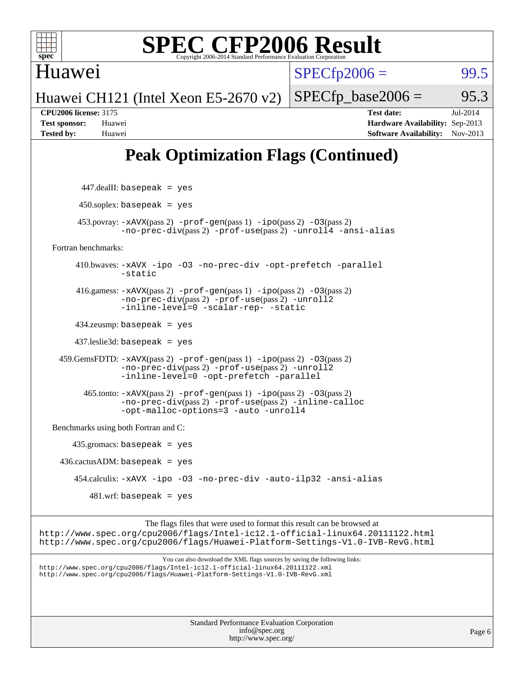

 $SPECfp2006 = 99.5$  $SPECfp2006 = 99.5$ 

Huawei CH121 (Intel Xeon E5-2670 v2)

 $SPECTp\_base2006 = 95.3$ 

Huawei

**[CPU2006 license:](http://www.spec.org/auto/cpu2006/Docs/result-fields.html#CPU2006license)** 3175 **[Test date:](http://www.spec.org/auto/cpu2006/Docs/result-fields.html#Testdate)** Jul-2014 **[Test sponsor:](http://www.spec.org/auto/cpu2006/Docs/result-fields.html#Testsponsor)** Huawei **[Hardware Availability:](http://www.spec.org/auto/cpu2006/Docs/result-fields.html#HardwareAvailability)** Sep-2013 **[Tested by:](http://www.spec.org/auto/cpu2006/Docs/result-fields.html#Testedby)** Huawei **[Software Availability:](http://www.spec.org/auto/cpu2006/Docs/result-fields.html#SoftwareAvailability)** Nov-2013

## **[Peak Optimization Flags \(Continued\)](http://www.spec.org/auto/cpu2006/Docs/result-fields.html#PeakOptimizationFlags)**

| $447$ .dealII: basepeak = yes                                                                                                                                                                                                              |        |
|--------------------------------------------------------------------------------------------------------------------------------------------------------------------------------------------------------------------------------------------|--------|
| $450$ .soplex: basepeak = yes                                                                                                                                                                                                              |        |
| $453.$ povray: $-xAVX(pass 2)$ -prof-gen(pass 1) -ipo(pass 2) -03(pass 2)<br>-no-prec-div(pass 2) -prof-use(pass 2) -unroll4 -ansi-alias                                                                                                   |        |
| Fortran benchmarks:                                                                                                                                                                                                                        |        |
| 410.bwaves: -xAVX -ipo -03 -no-prec-div -opt-prefetch -parallel<br>-static                                                                                                                                                                 |        |
| 416.gamess: $-x$ AVX(pass 2) $-prof-gen(pass 1) -ipo(pass 2) -O3(pass 2)$<br>-no-prec-div(pass 2) -prof-use(pass 2) -unroll2<br>-inline-level=0 -scalar-rep- -static                                                                       |        |
| $434$ .zeusmp: basepeak = yes                                                                                                                                                                                                              |        |
| $437$ leslie3d: basepeak = yes                                                                                                                                                                                                             |        |
| 459. GemsFDTD: $-x$ AVX(pass 2) -prof-gen(pass 1) -ipo(pass 2) -03(pass 2)<br>-no-prec-div(pass 2) -prof-use(pass 2) -unroll2<br>-inline-level=0 -opt-prefetch -parallel                                                                   |        |
| $465$ .tonto: $-xAVX(pass 2)$ -prof-gen(pass 1) -ipo(pass 2) -03(pass 2)<br>-no-prec-div(pass 2) -prof-use(pass 2) -inline-calloc<br>-opt-malloc-options=3 -auto -unroll4                                                                  |        |
| Benchmarks using both Fortran and C:                                                                                                                                                                                                       |        |
| $435$ .gromacs: basepeak = yes                                                                                                                                                                                                             |        |
| $436.cactusADM:basepeak = yes$                                                                                                                                                                                                             |        |
| 454.calculix: -xAVX -ipo -03 -no-prec-div -auto-ilp32 -ansi-alias                                                                                                                                                                          |        |
| $481.wrf$ : basepeak = yes                                                                                                                                                                                                                 |        |
| The flags files that were used to format this result can be browsed at<br>http://www.spec.org/cpu2006/flags/Intel-ic12.1-official-linux64.20111122.html<br>http://www.spec.org/cpu2006/flags/Huawei-Platform-Settings-V1.0-IVB-RevG.html   |        |
| You can also download the XML flags sources by saving the following links:<br>http://www.spec.org/cpu2006/flags/Intel-ic12.1-official-linux64.20111122.xml<br>http://www.spec.org/cpu2006/flags/Huawei-Platform-Settings-V1.0-IVB-RevG.xml |        |
| Standard Performance Evaluation Corporation<br>info@spec.org<br>http://www.spec.org/                                                                                                                                                       | Page 6 |